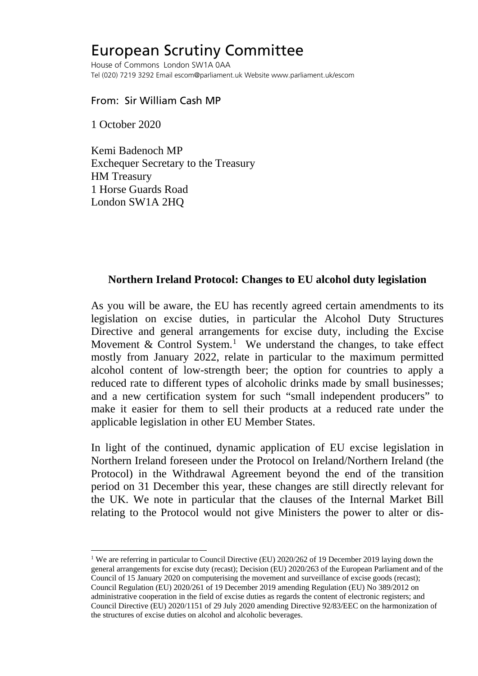## European Scrutiny Committee

House of Commons London SW1A 0AA Tel (020) 7219 3292 Email escom@parliament.uk Website www.parliament.uk/escom

## From: Sir William Cash MP

1 October 2020

Kemi Badenoch MP Exchequer Secretary to the Treasury HM Treasury 1 Horse Guards Road London SW1A 2HQ

## **Northern Ireland Protocol: Changes to EU alcohol duty legislation**

As you will be aware, the EU has recently agreed certain amendments to its legislation on excise duties, in particular the Alcohol Duty Structures Directive and general arrangements for excise duty, including the Excise Movement & Control System.<sup>[1](#page-0-0)</sup> We understand the changes, to take effect mostly from January 2022, relate in particular to the maximum permitted alcohol content of low-strength beer; the option for countries to apply a reduced rate to different types of alcoholic drinks made by small businesses; and a new certification system for such "small independent producers" to make it easier for them to sell their products at a reduced rate under the applicable legislation in other EU Member States.

In light of the continued, dynamic application of EU excise legislation in Northern Ireland foreseen under the Protocol on Ireland/Northern Ireland (the Protocol) in the Withdrawal Agreement beyond the end of the transition period on 31 December this year, these changes are still directly relevant for the UK. We note in particular that the clauses of the Internal Market Bill relating to the Protocol would not give Ministers the power to alter or dis-

<span id="page-0-0"></span><sup>&</sup>lt;sup>1</sup> We are referring in particular to Council Directive (EU) 2020/262 of 19 December 2019 laying down the general arrangements for excise duty (recast); Decision (EU) 2020/263 of the European Parliament and of the Council of 15 January 2020 on computerising the movement and surveillance of excise goods (recast); Council Regulation (EU) 2020/261 of 19 December 2019 amending Regulation (EU) No 389/2012 on administrative cooperation in the field of excise duties as regards the content of electronic registers; and Council Directive (EU) 2020/1151 of 29 July 2020 amending Directive 92/83/EEC on the harmonization of the structures of excise duties on alcohol and alcoholic beverages.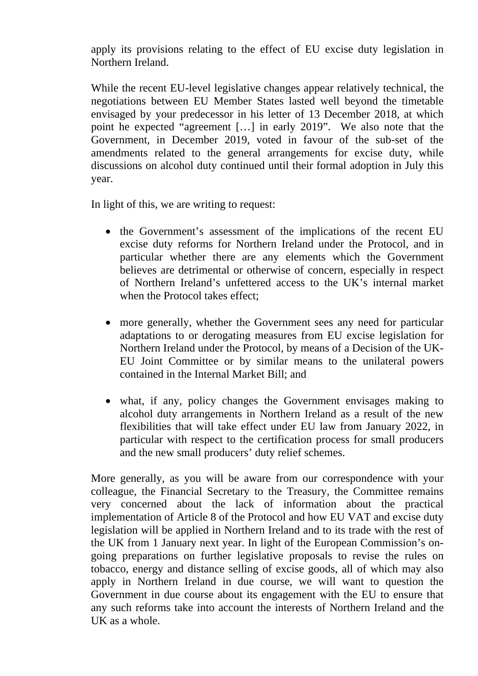apply its provisions relating to the effect of EU excise duty legislation in Northern Ireland.

While the recent EU-level legislative changes appear relatively technical, the negotiations between EU Member States lasted well beyond the timetable envisaged by your predecessor in his letter of 13 December 2018, at which point he expected "agreement […] in early 2019". We also note that the Government, in December 2019, voted in favour of the sub-set of the amendments related to the general arrangements for excise duty, while discussions on alcohol duty continued until their formal adoption in July this year.

In light of this, we are writing to request:

- the Government's assessment of the implications of the recent EU excise duty reforms for Northern Ireland under the Protocol, and in particular whether there are any elements which the Government believes are detrimental or otherwise of concern, especially in respect of Northern Ireland's unfettered access to the UK's internal market when the Protocol takes effect:
- more generally, whether the Government sees any need for particular adaptations to or derogating measures from EU excise legislation for Northern Ireland under the Protocol, by means of a Decision of the UK-EU Joint Committee or by similar means to the unilateral powers contained in the Internal Market Bill; and
- what, if any, policy changes the Government envisages making to alcohol duty arrangements in Northern Ireland as a result of the new flexibilities that will take effect under EU law from January 2022, in particular with respect to the certification process for small producers and the new small producers' duty relief schemes.

More generally, as you will be aware from our correspondence with your colleague, the Financial Secretary to the Treasury, the Committee remains very concerned about the lack of information about the practical implementation of Article 8 of the Protocol and how EU VAT and excise duty legislation will be applied in Northern Ireland and to its trade with the rest of the UK from 1 January next year. In light of the European Commission's ongoing preparations on further legislative proposals to revise the rules on tobacco, energy and distance selling of excise goods, all of which may also apply in Northern Ireland in due course, we will want to question the Government in due course about its engagement with the EU to ensure that any such reforms take into account the interests of Northern Ireland and the UK as a whole.